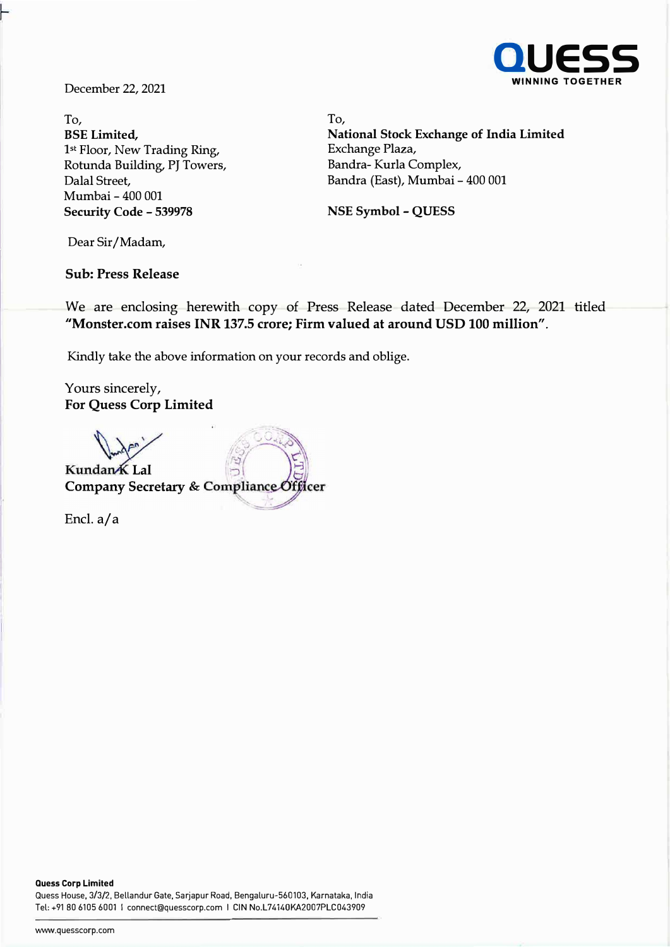

To, To, **BSE Limited,**  <sup>1</sup>**st** Floor, New Trading Ring, Rotunda Building, PJ Towers, Dalal Street, Mumbai - 400 001 **Security Code - 539978** 

**National Stock Exchange of India Limited**  Exchange Plaza, Bandra- Kurla Complex, Bandra (East), Mumbai - 400 001

**NSE Symbol - QUESS** 

Dear Sir/Madam,

**Sub: Press Release** 

We are enclosing herewith copy of Press Release dated December 22, 2021 titled **"Monster.com raises INR 137.5 crore; Firm valued at around USD 100 million".** 

Kindly take the above information on your records and oblige.

Yours sincerely, **For Quess Corp Limited** 

Kundan K Lal Company Secretary & Compliance Officer

Encl. a/a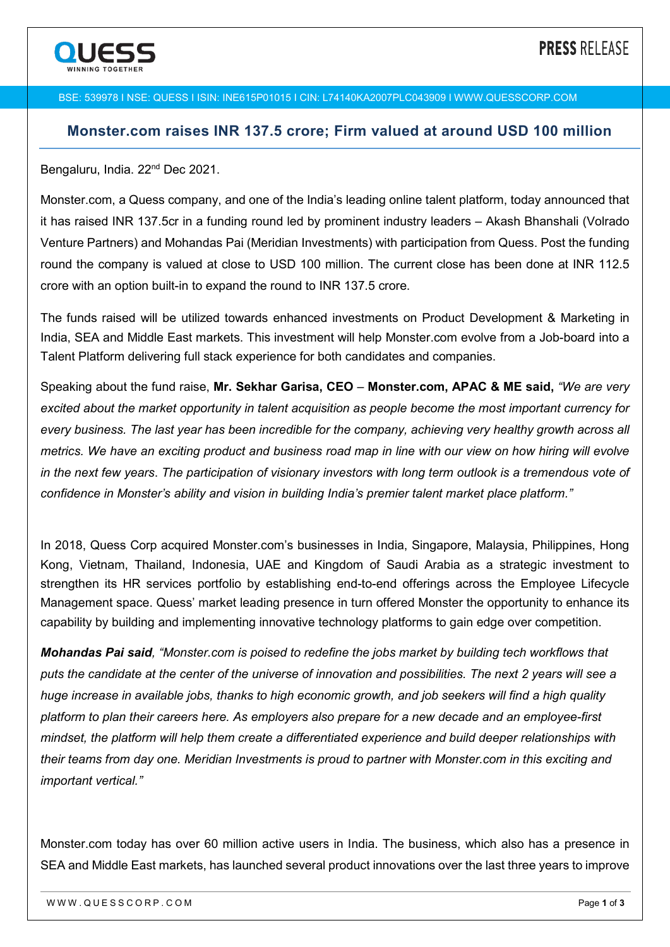

#### BSE: 539978 I NSE: QUESS I ISIN: INE615P01015 I CIN: L74140KA2007PLC043909 I WWW.QUESSCORP.COM

## **Monster.com raises INR 137.5 crore; Firm valued at around USD 100 million**

#### Bengaluru, India. 22<sup>nd</sup> Dec 2021.

Monster.com, a Quess company, and one of the India's leading online talent platform, today announced that it has raised INR 137.5cr in a funding round led by prominent industry leaders *–* Akash Bhanshali (Volrado Venture Partners) and Mohandas Pai (Meridian Investments) with participation from Quess. Post the funding round the company is valued at close to USD 100 million. The current close has been done at INR 112.5 crore with an option built-in to expand the round to INR 137.5 crore.

The funds raised will be utilized towards enhanced investments on Product Development & Marketing in India, SEA and Middle East markets. This investment will help Monster.com evolve from a Job-board into a Talent Platform delivering full stack experience for both candidates and companies.

Speaking about the fund raise, **Mr. Sekhar Garisa, CEO** *–* **Monster.com, APAC & ME said,** *"We are very excited about the market opportunity in talent acquisition as people become the most important currency for every business. The last year has been incredible for the company, achieving very healthy growth across all metrics. We have an exciting product and business road map in line with our view on how hiring will evolve in the next few years*. *The participation of visionary investors with long term outlook is a tremendous vote of confidence in Monster's ability and vision in building India's premier talent market place platform."* 

In 2018, Quess Corp acquired Monster.com's businesses in India, Singapore, Malaysia, Philippines, Hong Kong, Vietnam, Thailand, Indonesia, UAE and Kingdom of Saudi Arabia as a strategic investment to strengthen its HR services portfolio by establishing end-to-end offerings across the Employee Lifecycle Management space. Quess' market leading presence in turn offered Monster the opportunity to enhance its capability by building and implementing innovative technology platforms to gain edge over competition.

*Mohandas Pai said, "Monster.com is poised to redefine the jobs market by building tech workflows that puts the candidate at the center of the universe of innovation and possibilities. The next 2 years will see a huge increase in available jobs, thanks to high economic growth, and job seekers will find a high quality platform to plan their careers here. As employers also prepare for a new decade and an employee-first mindset, the platform will help them create a differentiated experience and build deeper relationships with their teams from day one. Meridian Investments is proud to partner with Monster.com in this exciting and important vertical."*

Monster.com today has over 60 million active users in India. The business, which also has a presence in SEA and Middle East markets, has launched several product innovations over the last three years to improve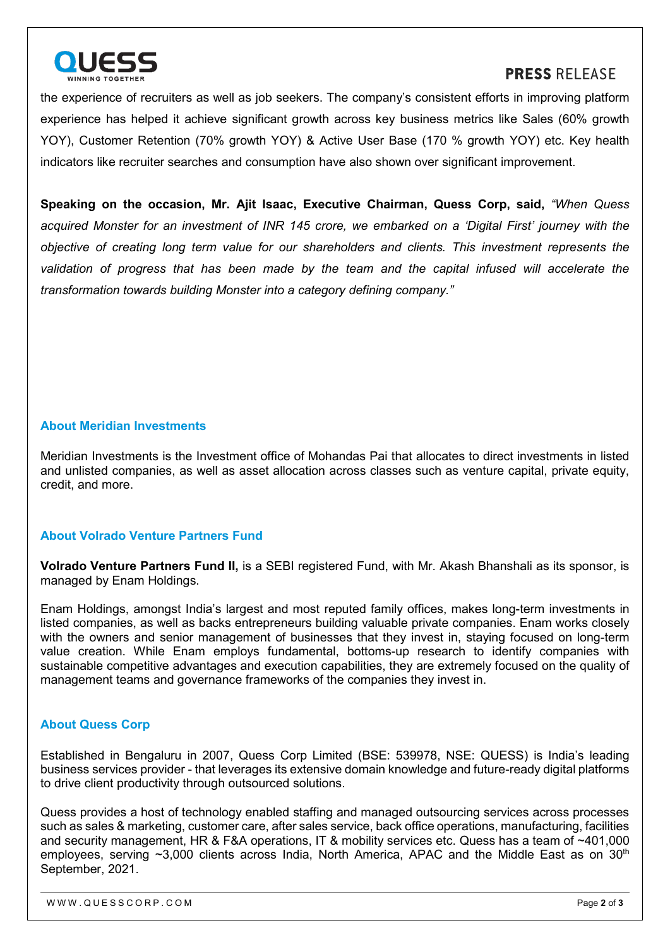

## **PRESS RELEASE**

the experience of recruiters as well as job seekers. The company's consistent efforts in improving platform experience has helped it achieve significant growth across key business metrics like Sales (60% growth YOY), Customer Retention (70% growth YOY) & Active User Base (170 % growth YOY) etc. Key health indicators like recruiter searches and consumption have also shown over significant improvement.

**Speaking on the occasion, Mr. Ajit Isaac, Executive Chairman, Quess Corp, said,** *"When Quess acquired Monster for an investment of INR 145 crore, we embarked on a 'Digital First' journey with the objective of creating long term value for our shareholders and clients. This investment represents the validation of progress that has been made by the team and the capital infused will accelerate the transformation towards building Monster into a category defining company."* 

#### **About Meridian Investments**

Meridian Investments is the Investment office of Mohandas Pai that allocates to direct investments in listed and unlisted companies, as well as asset allocation across classes such as venture capital, private equity, credit, and more.

#### **About Volrado Venture Partners Fund**

**Volrado Venture Partners Fund II,** is a SEBI registered Fund, with Mr. Akash Bhanshali as its sponsor, is managed by Enam Holdings.

Enam Holdings, amongst India's largest and most reputed family offices, makes long-term investments in listed companies, as well as backs entrepreneurs building valuable private companies. Enam works closely with the owners and senior management of businesses that they invest in, staying focused on long-term value creation. While Enam employs fundamental, bottoms-up research to identify companies with sustainable competitive advantages and execution capabilities, they are extremely focused on the quality of management teams and governance frameworks of the companies they invest in.

### **About Quess Corp**

Established in Bengaluru in 2007, Quess Corp Limited (BSE: 539978, NSE: QUESS) is India's leading business services provider - that leverages its extensive domain knowledge and future-ready digital platforms to drive client productivity through outsourced solutions.

Quess provides a host of technology enabled staffing and managed outsourcing services across processes such as sales & marketing, customer care, after sales service, back office operations, manufacturing, facilities and security management, HR & F&A operations, IT & mobility services etc. Quess has a team of ~401,000 employees, serving  $\sim$ 3,000 clients across India, North America, APAC and the Middle East as on 30<sup>th</sup> September, 2021.